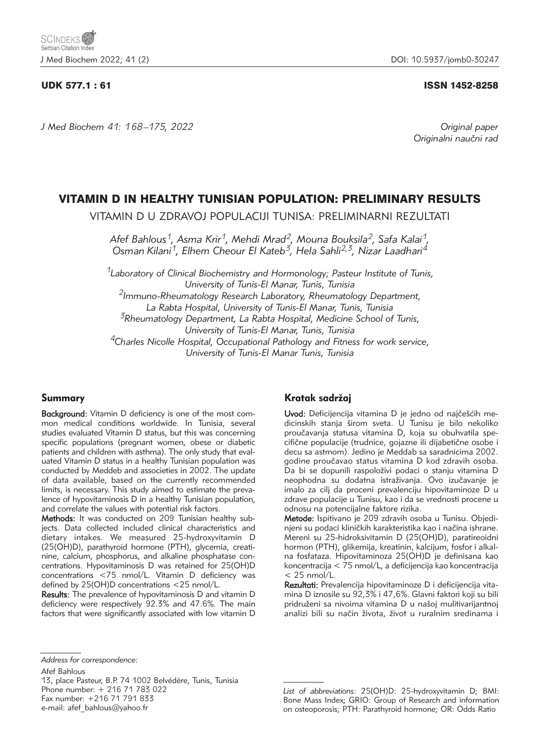# UDK 577.1 : 61 ISSN 1452-8258

*J Med Biochem 41: 168 –175, 2022 Original paper*

Originalni naučni rad

# VITAMIN D IN HEALTHY TUNISIAN POPULATION: PRELIMINARY RESULTS

VITAMIN D U ZDRAVOJ POPULACIJI TUNISA: PRELIMINARNI REZULTATI

*Afef Bahlous1, Asma Krir1, Mehdi Mrad2, Mouna Bouksila2, Safa Kalai1, Osman Kilani1, Elhem Cheour El Kateb3, Hela Sahli2,3, Nizar Laadhari4*

*1Laboratory of Clinical Biochemistry and Hormonology; Pasteur Institute of Tunis, University of Tunis-El Manar, Tunis, Tunisia 2Immuno-Rheumatology Research Laboratory, Rheumatology Department, La Rabta Hospital, University of Tunis-El Manar, Tunis, Tunisia 3Rheumatology Department, La Rabta Hospital, Medicine School of Tunis, University of Tunis-El Manar, Tunis, Tunisia 4Charles Nicolle Hospital, Occupational Pathology and Fitness for work service,* 

*University of Tunis-El Manar Tunis, Tunisia* 

# Summary

Background: Vitamin D deficiency is one of the most common medical conditions worldwide. In Tunisia, several studies evaluated Vitamin D status, but this was concerning specific populations (pregnant women, obese or diabetic patients and children with asthma). The only study that evaluated Vitamin D status in a healthy Tunisian population was conducted by Meddeb and associeties in 2002. The update of data available, based on the currently recommended limits, is necessary. This study aimed to estimate the prevalence of hypovitaminosis D in a healthy Tunisian population, and correlate the values with potential risk factors.

Methods: It was conducted on 209 Tunisian healthy subjects. Data collected included clinical characteristics and dietary intakes. We measured 25-hydroxyvitamin D (25(OH)D), parathyroid hormone (PTH), glycemia, creatinine, calcium, phosphorus, and alkaline phosphatase concentrations. Hypovitaminosis D was retained for 25(OH)D concentrations <75 nmol/L. Vitamin D deficiency was defined by 25(OH)D concentrations <25 nmol/L.

Results: The prevalence of hypovitaminosis D and vitamin D deficiency were respectively 92.3% and 47.6%. The main factors that were significantly associated with low vitamin D

# Kratak sadržaj

Uvod: Deficijencija vitamina D je jedno od najčešćih medicinskih stanja {irom sveta. U Tunisu je bilo nekoliko proučavanja statusa vitamina D, koja su obuhvatila specifične populacije (trudnice, gojazne ili dijabetične osobe i decu sa astmom). Jedino je Meddab sa saradnicima 2002. godine proučavao status vitamina D kod zdravih osoba. Da bi se dopunili raspoloživi podaci o stanju vitamina D neophodna su dodatna istraživanja. Ovo izučavanje je imalo za cilj da proceni prevalenciju hipovitaminoze D u zdrave populacije u Tunisu, kao i da se vrednosti procene u odnosu na potencijalne faktore rizika.

Metode: Ispitivano je 209 zdravih osoba u Tunisu. Objedinjeni su podaci kliničkih karakteristika kao i načina ishrane. Mereni su 25-hidroksivitamin D (25(OH)D), paratireoidni hormon (PTH), glikemija, kreatinin, kalcijum, fosfor i alkalna fosfataza. Hipovitaminoza 25(OH)D je definisana kao koncentracija < 75 nmol/L, a deficijencija kao koncentracija  $<$  25 nmol/L.

Rezultati: Prevalencija hipovitaminoze D i deficijencija vitamina D iznosile su 92,3% i 47,6%. Glavni faktori koji su bili pridruženi sa nivoima vitamina D u našoj mulitivarijantnoj analizi bili su način života, život u ruralnim sredinama i

Afef Bahlous

13, place Pasteur, B.P. 74 1002 Belvédère, Tunis, Tunisia Phone number: + 216 71 783 022 Fax number: +216 71 791 833 e-mail: afef\_bahlous@yahoo.fr

*Address for correspondence:*

*List of abbreviations:* 25(OH)D: 25-hydroxyvitamin D; BMI: Bone Mass Index; GRIO: Group of Research and information on osteoporosis; PTH: Parathyroid hormone; OR: Odds Ratio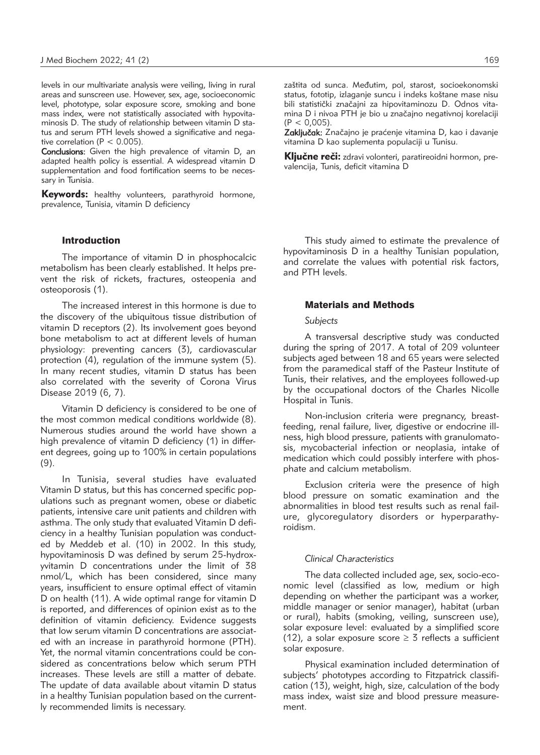levels in our multivariate analysis were veiling, living in rural areas and sunscreen use. However, sex, age, socioeconomic level, phototype, solar exposure score, smoking and bone mass index, were not statistically associated with hypovitaminosis D. The study of relationship between vitamin D status and serum PTH levels showed a significative and negative correlation ( $P < 0.005$ ).

Conclusions: Given the high prevalence of vitamin D, an adapted health policy is essential. A widespread vitamin D supplementation and food fortification seems to be necessary in Tunisia.

Keywords: healthy volunteers, parathyroid hormone, prevalence, Tunisia, vitamin D deficiency

# **Introduction**

The importance of vitamin D in phosphocalcic metabolism has been clearly established. It helps prevent the risk of rickets, fractures, osteopenia and osteoporosis (1).

The increased interest in this hormone is due to the discovery of the ubiquitous tissue distribution of vitamin D receptors (2). Its involvement goes beyond bone metabolism to act at different levels of human physiology: preventing cancers (3), cardiovascular protection (4), regulation of the immune system (5). In many recent studies, vitamin D status has been also correlated with the severity of Corona Virus Disease 2019 (6, 7).

Vitamin D deficiency is considered to be one of the most common medical conditions worldwide (8). Numerous studies around the world have shown a high prevalence of vitamin D deficiency (1) in different degrees, going up to 100% in certain populations (9).

In Tunisia, several studies have evaluated Vitamin D status, but this has concerned specific populations such as pregnant women, obese or diabetic patients, intensive care unit patients and children with asthma. The only study that evaluated Vitamin D deficiency in a healthy Tunisian population was conducted by Meddeb et al. (10) in 2002. In this study, hypovitaminosis D was defined by serum 25-hydroxyvitamin D concentrations under the limit of 38 nmol/L, which has been considered, since many years, insufficient to ensure optimal effect of vitamin D on health (11). A wide optimal range for vitamin D is reported, and differences of opinion exist as to the definition of vitamin deficiency. Evidence suggests that low serum vitamin D concentrations are associated with an increase in parathyroid hormone (PTH). Yet, the normal vitamin concentrations could be considered as concentrations below which serum PTH increases. These levels are still a matter of debate. The update of data available about vitamin D status in a healthy Tunisian population based on the currently recommended limits is necessary.

zaštita od sunca. Međutim, pol, starost, socioekonomski status, fototip, izlaganje suncu i indeks koštane mase nisu bili statistički značajni za hipovitaminozu D. Odnos vitamina D i nivoa PTH je bio u značajno negativnoj korelaciji  $(P < 0.005)$ .

Zaključak: Značajno je praćenje vitamina D, kao i davanje vitamina D kao suplementa populaciji u Tunisu.

Ključne reči: zdravi volonteri, paratireoidni hormon, prevalencija, Tunis, deficit vitamina D

This study aimed to estimate the prevalence of hypovitaminosis D in a healthy Tunisian population, and correlate the values with potential risk factors, and PTH levels.

### Materials and Methods

#### *Subjects*

A transversal descriptive study was conducted during the spring of 2017. A total of 209 volunteer subjects aged between 18 and 65 years were selected from the paramedical staff of the Pasteur Institute of Tunis, their relatives, and the employees followed-up by the occupational doctors of the Charles Nicolle Hospital in Tunis.

Non-inclusion criteria were pregnancy, breastfeeding, renal failure, liver, digestive or endocrine illness, high blood pressure, patients with granulomatosis, mycobacterial infection or neoplasia, intake of medication which could possibly interfere with phosphate and calcium metabolism.

Exclusion criteria were the presence of high blood pressure on somatic examination and the abnormalities in blood test results such as renal failure, glycoregulatory disorders or hyperparathyroidism.

#### *Clinical Characteristics*

The data collected included age, sex, socio-economic level (classified as low, medium or high depending on whether the participant was a worker, middle manager or senior manager), habitat (urban or rural), habits (smoking, veiling, sunscreen use), solar exposure level: evaluated by a simplified score (12), a solar exposure score  $\geq$  3 reflects a sufficient solar exposure.

Physical examination included determination of subjects' phototypes according to Fitzpatrick classification (13), weight, high, size, calculation of the body mass index, waist size and blood pressure measurement.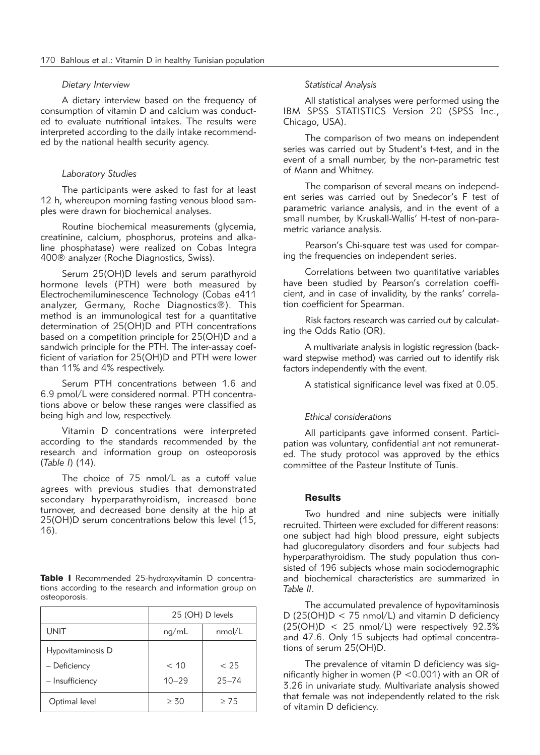#### *Dietary Interview*

A dietary interview based on the frequency of consumption of vitamin D and calcium was conducted to evaluate nutritional intakes. The results were interpreted according to the daily intake recommended by the national health security agency.

#### *Laboratory Studies*

The participants were asked to fast for at least 12 h, whereupon morning fasting venous blood samples were drawn for biochemical analyses.

Routine biochemical measurements (glycemia, creatinine, calcium, phosphorus, proteins and alkaline phosphatase) were realized on Cobas Integra 400® analyzer (Roche Diagnostics, Swiss).

Serum 25(OH)D levels and serum parathyroid hormone levels (PTH) were both measured by Electrochemiluminescence Technology (Cobas e411 analyzer, Germany, Roche Diagnostics®). This method is an immunological test for a quantitative determination of 25(OH)D and PTH concentrations based on a competition principle for 25(OH)D and a sandwich principle for the PTH. The inter-assay coefficient of variation for 25(OH)D and PTH were lower than 11% and 4% respectively.

Serum PTH concentrations between 1.6 and 6.9 pmol/L were considered normal. PTH concentrations above or below these ranges were classified as being high and low, respectively.

Vitamin D concentrations were interpreted according to the standards recommended by the research and information group on osteoporosis (*Table I*) (14).

The choice of 75 nmol/L as a cutoff value agrees with previous studies that demonstrated secondary hyperparathyroidism, increased bone turnover, and decreased bone density at the hip at 25(OH)D serum concentrations below this level (15, 16).

Table I Recommended 25-hydroxyvitamin D concentrations according to the research and information group on osteoporosis.

|                   | 25 (OH) D levels |           |
|-------------------|------------------|-----------|
| <b>UNIT</b>       | nq/mL            | nmol/L    |
| Hypovitaminosis D |                  |           |
| - Deficiency      | < 10             | < 25      |
| - Insufficiency   | $10 - 29$        | $25 - 74$ |
| Optimal level     | $\geq 30$        | $\geq$ 75 |

# *Statistical Analysis*

All statistical analyses were performed using the IBM SPSS STATISTICS Version 20 (SPSS Inc., Chicago, USA).

The comparison of two means on independent series was carried out by Student's t-test, and in the event of a small number, by the non-parametric test of Mann and Whitney.

The comparison of several means on independent series was carried out by Snedecor's F test of parametric variance analysis, and in the event of a small number, by Kruskall-Wallis' H-test of non-parametric variance analysis.

Pearson's Chi-square test was used for comparing the frequencies on independent series.

Correlations between two quantitative variables have been studied by Pearson's correlation coefficient, and in case of invalidity, by the ranks' correlation coefficient for Spearman.

Risk factors research was carried out by calculating the Odds Ratio (OR).

A multivariate analysis in logistic regression (back ward stepwise method) was carried out to identify risk factors independently with the event.

A statistical significance level was fixed at 0.05.

# *Ethical considerations*

All participants gave informed consent. Participation was voluntary, confidential ant not remunerated. The study protocol was approved by the ethics committee of the Pasteur Institute of Tunis.

# **Results**

Two hundred and nine subjects were initially recruited. Thirteen were excluded for different reasons: one subject had high blood pressure, eight subjects had glucoregulatory disorders and four subjects had hyperparathyroidism. The study population thus consisted of 196 subjects whose main sociodemographic and biochemical characteristics are summarized in *Table II*.

The accumulated prevalence of hypovitaminosis D (25(OH)D < 75 nmol/L) and vitamin D deficiency  $(25(OH)D < 25$  nmol/L) were respectively 92.3% and 47.6. Only 15 subjects had optimal concentrations of serum 25(OH)D.

The prevalence of vitamin D deficiency was significantly higher in women (P <0.001) with an OR of 3.26 in univariate study. Multivariate analysis showed that female was not independently related to the risk of vitamin D deficiency.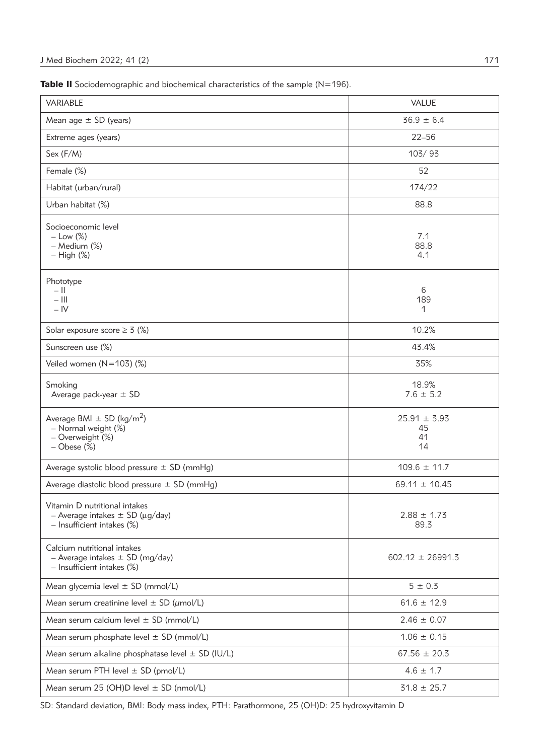Table II Sociodemographic and biochemical characteristics of the sample (N=196).

| VARIABLE                                                                                                      | <b>VALUE</b>                       |
|---------------------------------------------------------------------------------------------------------------|------------------------------------|
| Mean age $\pm$ SD (years)                                                                                     | $36.9 \pm 6.4$                     |
| Extreme ages (years)                                                                                          | $22 - 56$                          |
| Sex (F/M)                                                                                                     | 103/93                             |
| Female (%)                                                                                                    | 52                                 |
| Habitat (urban/rural)                                                                                         | 174/22                             |
| Urban habitat (%)                                                                                             | 88.8                               |
| Socioeconomic level<br>$-$ Low $(\%)$<br>- Medium (%)<br>$-$ High $(\%)$                                      | 7.1<br>88.8<br>4.1                 |
| Phototype<br>$ \parallel$<br>$-$ III<br>$-IV$                                                                 | 6<br>189<br>1                      |
| Solar exposure score $\geq 3$ (%)                                                                             | 10.2%                              |
| Sunscreen use (%)                                                                                             | 43.4%                              |
| Veiled women $(N=103)$ (%)                                                                                    | 35%                                |
| Smoking<br>Average pack-year $\pm$ SD                                                                         | 18.9%<br>$7.6 \pm 5.2$             |
| Average BMI $\pm$ SD (kg/m <sup>2</sup> )<br>- Normal weight (%)<br>- Overweight (%)<br>$-$ Obese $(\%)$      | $25.91 \pm 3.93$<br>45<br>41<br>14 |
| Average systolic blood pressure $\pm$ SD (mmHg)                                                               | $109.6 \pm 11.7$                   |
| Average diastolic blood pressure $\pm$ SD (mmHg)                                                              | 69.11 $\pm$ 10.45                  |
| Vitamin D nutritional intakes<br>- Average intakes $\pm$ SD ( $\mu$ g/day)<br>$-$ Insufficient intakes $(\%)$ | $2.88 \pm 1.73$<br>89.3            |
| Calcium nutritional intakes<br>- Average intakes $\pm$ SD (mg/day)<br>$-$ Insufficient intakes $(\%)$         | $602.12 \pm 26991.3$               |
| Mean glycemia level $\pm$ SD (mmol/L)                                                                         | $5 \pm 0.3$                        |
| Mean serum creatinine level $\pm$ SD ( $\mu$ mol/L)                                                           | $61.6 \pm 12.9$                    |
| Mean serum calcium level $\pm$ SD (mmol/L)                                                                    | $2.46 \pm 0.07$                    |
| Mean serum phosphate level $\pm$ SD (mmol/L)                                                                  | $1.06 \pm 0.15$                    |
| Mean serum alkaline phosphatase level $\pm$ SD (IU/L)                                                         | $67.56 \pm 20.3$                   |
| Mean serum PTH level $\pm$ SD (pmol/L)                                                                        | $4.6 \pm 1.7$                      |
| Mean serum 25 (OH)D level $\pm$ SD (nmol/L)                                                                   | $31.8 \pm 25.7$                    |

SD: Standard deviation, BMI: Body mass index, PTH: Parathormone, 25 (OH)D: 25 hydroxyvitamin D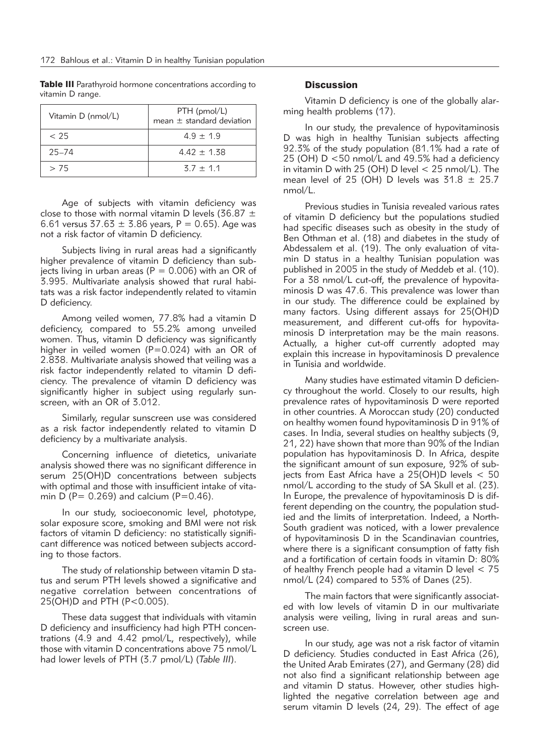Table III Parathyroid hormone concentrations according to vitamin D range.

| Vitamin D (nmol/L) | PTH (pmol/L)<br>mean $\pm$ standard deviation |
|--------------------|-----------------------------------------------|
| < 25               | $4.9 + 1.9$                                   |
| $25 - 74$          | $4.42 + 1.38$                                 |
| > 75               | $3.7 + 1.1$                                   |

Age of subjects with vitamin deficiency was close to those with normal vitamin D levels (36.87  $\pm$ 6.61 versus  $37.63 \pm 3.86$  vears,  $P = 0.65$ ). Age was not a risk factor of vitamin D deficiency.

Subjects living in rural areas had a significantly higher prevalence of vitamin D deficiency than subjects living in urban areas ( $P = 0.006$ ) with an OR of 3.995. Multivariate analysis showed that rural habitats was a risk factor independently related to vitamin D deficiency.

Among veiled women, 77.8% had a vitamin D deficiency, compared to 55.2% among unveiled women. Thus, vitamin D deficiency was significantly higher in veiled women (P=0.024) with an OR of 2.838. Multivariate analysis showed that veiling was a risk factor independently related to vitamin D deficiency. The prevalence of vitamin D deficiency was significantly higher in subject using regularly sunscreen, with an OR of 3.012.

Similarly, regular sunscreen use was considered as a risk factor independently related to vitamin D deficiency by a multivariate analysis.

Concerning influence of dietetics, univariate analysis showed there was no significant difference in serum 25(OH)D concentrations between subjects with optimal and those with insufficient intake of vitamin D (P= 0.269) and calcium (P=0.46).

In our study, socioeconomic level, phototype, solar exposure score, smoking and BMI were not risk factors of vitamin D deficiency: no statistically significant difference was noticed between subjects according to those factors.

The study of relationship between vitamin D status and serum PTH levels showed a significative and negative correlation between concentrations of 25(OH)D and PTH (P<0.005).

These data suggest that individuals with vitamin D deficiency and insufficiency had high PTH concentrations (4.9 and 4.42 pmol/L, respectively), while those with vitamin D concentrations above 75 nmol/L had lower levels of PTH (3.7 pmol/L) (*Table III*).

# **Discussion**

Vitamin D deficiency is one of the globally alarming health problems (17).

In our study, the prevalence of hypovitaminosis D was high in healthy Tunisian subjects affecting 92.3% of the study population (81.1% had a rate of 25 (OH) D <50 nmol/L and 49.5% had a deficiency in vitamin D with 25 (OH) D level < 25 nmol/L). The mean level of 25 (OH) D levels was  $31.8 \pm 25.7$ nmol/L.

Previous studies in Tunisia revealed various rates of vitamin D deficiency but the populations studied had specific diseases such as obesity in the study of Ben Othman et al. (18) and diabetes in the study of Abdessalem et al. (19). The only evaluation of vitamin D status in a healthy Tunisian population was published in 2005 in the study of Meddeb et al. (10). For a 38 nmol/L cut-off, the prevalence of hypovitaminosis D was 47.6. This prevalence was lower than in our study. The difference could be explained by many factors. Using different assays for 25(OH)D measurement, and different cut-offs for hypovitaminosis D interpretation may be the main reasons. Actually, a higher cut-off currently adopted may explain this increase in hypovitaminosis D prevalence in Tunisia and worldwide.

Many studies have estimated vitamin D deficiency throughout the world. Closely to our results, high prevalence rates of hypovitaminosis D were reported in other countries. A Moroccan study (20) conducted on healthy women found hypovitaminosis D in 91% of cases. In India, several studies on healthy subjects (9, 21, 22) have shown that more than 90% of the Indian population has hypovitaminosis D. In Africa, despite the significant amount of sun exposure, 92% of subjects from East Africa have a 25(OH)D levels < 50 nmol/L according to the study of SA Skull et al. (23). In Europe, the prevalence of hypovitaminosis D is different depending on the country, the population studied and the limits of interpretation. Indeed, a North-South gradient was noticed, with a lower prevalence of hypovitaminosis D in the Scandinavian countries, where there is a significant consumption of fatty fish and a fortification of certain foods in vitamin D: 80% of healthy French people had a vitamin D level < 75 nmol/L (24) compared to 53% of Danes (25).

The main factors that were significantly associated with low levels of vitamin D in our multivariate analysis were veiling, living in rural areas and sunscreen use.

In our study, age was not a risk factor of vitamin D deficiency. Studies conducted in East Africa (26), the United Arab Emirates (27), and Germany (28) did not also find a significant relationship between age and vitamin D status. However, other studies highlighted the negative correlation between age and serum vitamin D levels (24, 29). The effect of age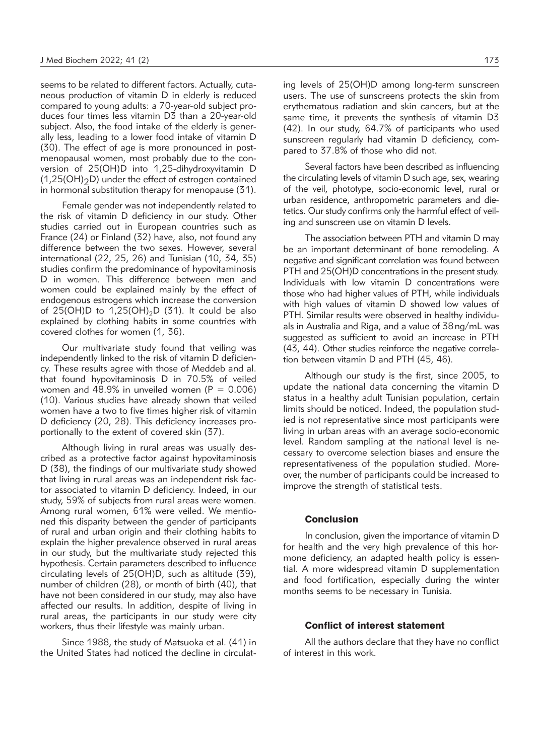seems to be related to different factors. Actually, cutaneous production of vitamin D in elderly is reduced compared to young adults: a 70-year-old subject produces four times less vitamin D3 than a 20-year-old subject. Also, the food intake of the elderly is generally less, leading to a lower food intake of vitamin D (30). The effect of age is more pronounced in postmenopausal women, most probably due to the conversion of 25(OH)D into 1,25-dihydroxyvitamin D  $(1,25(OH)<sub>2</sub>D)$  under the effect of estrogen contained in hormonal substitution therapy for menopause (31).

Female gender was not independently related to the risk of vitamin D deficiency in our study. Other studies carried out in European countries such as France (24) or Finland (32) have, also, not found any difference between the two sexes. However, several international (22, 25, 26) and Tunisian (10, 34, 35) studies confirm the predominance of hypovitaminosis D in women. This difference between men and women could be explained mainly by the effect of endogenous estrogens which increase the conversion of 25(OH)D to  $1,25(OH)_2D$  (31). It could be also explained by clothing habits in some countries with covered clothes for women (1, 36).

Our multivariate study found that veiling was independently linked to the risk of vitamin D deficiency. These results agree with those of Meddeb and al. that found hypovitaminosis D in 70.5% of veiled women and  $48.9\%$  in unveiled women (P = 0.006) (10). Various studies have already shown that veiled women have a two to five times higher risk of vitamin D deficiency (20, 28). This deficiency increases proportionally to the extent of covered skin (37).

Although living in rural areas was usually described as a protective factor against hypovitaminosis D (38), the findings of our multivariate study showed that living in rural areas was an independent risk factor associated to vitamin D deficiency. Indeed, in our study, 59% of subjects from rural areas were women. Among rural women, 61% were veiled. We mentioned this disparity between the gender of participants of rural and urban origin and their clothing habits to explain the higher prevalence observed in rural areas in our study, but the multivariate study rejected this hypothesis. Certain parameters described to influence circulating levels of 25(OH)D, such as altitude (39), number of children (28), or month of birth (40), that have not been considered in our study, may also have affected our results. In addition, despite of living in rural areas, the participants in our study were city workers, thus their lifestyle was mainly urban.

Since 1988, the study of Matsuoka et al. (41) in the United States had noticed the decline in circulating levels of 25(OH)D among long-term sunscreen users. The use of sunscreens protects the skin from erythematous radiation and skin cancers, but at the same time, it prevents the synthesis of vitamin D3 (42). In our study, 64.7% of participants who used sunscreen regularly had vitamin D deficiency, compared to 37.8% of those who did not.

Several factors have been described as influencing the circulating levels of vitamin D such age, sex, wearing of the veil, phototype, socio-economic level, rural or urban residence, anthropometric parameters and dietetics. Our study confirms only the harmful effect of veiling and sunscreen use on vitamin D levels.

The association between PTH and vitamin D may be an important determinant of bone remodeling. A negative and significant correlation was found between PTH and 25(OH)D concentrations in the present study. Individuals with low vitamin D concentrations were those who had higher values of PTH, while individuals with high values of vitamin D showed low values of PTH. Similar results were observed in healthy individuals in Australia and Riga, and a value of 38 ng/mL was suggested as sufficient to avoid an increase in PTH (43, 44). Other studies reinforce the negative correlation between vitamin D and PTH (45, 46).

Although our study is the first, since 2005, to update the national data concerning the vitamin D status in a healthy adult Tunisian population, certain limits should be noticed. Indeed, the population studied is not representative since most participants were living in urban areas with an average socio-economic level. Random sampling at the national level is necessary to overcome selection biases and ensure the representativeness of the population studied. Moreover, the number of participants could be increased to improve the strength of statistical tests.

# **Conclusion**

In conclusion, given the importance of vitamin D for health and the very high prevalence of this hormone deficiency, an adapted health policy is essential. A more widespread vitamin D supplementation and food fortification, especially during the winter months seems to be necessary in Tunisia.

# Conflict of interest statement

All the authors declare that they have no conflict of interest in this work.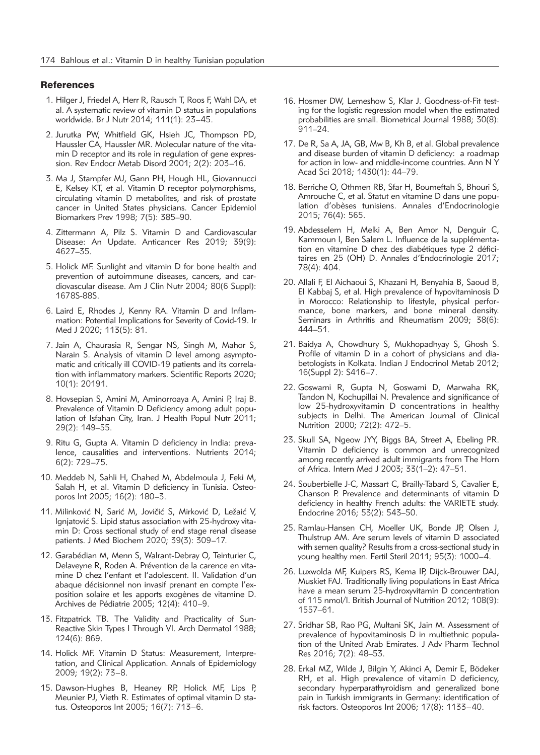#### **References**

- 1. Hilger J, Friedel A, Herr R, Rausch T, Roos F, Wahl DA, et al. A systematic review of vitamin D status in populations worldwide. Br J Nutr 2014; 111(1): 23–45.
- 2. Jurutka PW, Whitfield GK, Hsieh JC, Thompson PD, Haussler CA, Haussler MR. Molecular nature of the vitamin D receptor and its role in regulation of gene expression. Rev Endocr Metab Disord 2001; 2(2): 203–16.
- 3. Ma J, Stampfer MJ, Gann PH, Hough HL, Giovannucci E, Kelsey KT, et al. Vitamin D receptor polymorphisms, circulating vitamin D metabolites, and risk of prostate cancer in United States physicians. Cancer Epidemiol Biomarkers Prev 1998; 7(5): 385–90.
- 4. Zittermann A, Pilz S. Vitamin D and Cardiovascular Disease: An Update. Anticancer Res 2019; 39(9): 4627–35.
- 5. Holick MF. Sunlight and vitamin D for bone health and prevention of autoimmune diseases, cancers, and cardiovascular disease. Am J Clin Nutr 2004; 80(6 Suppl): 1678S-88S.
- 6. Laird E, Rhodes J, Kenny RA. Vitamin D and Inflam mation: Potential Implications for Severity of Covid-19. Ir Med J 2020; 113(5): 81.
- 7. Jain A, Chaurasia R, Sengar NS, Singh M, Mahor S, Narain S. Analysis of vitamin D level among asymptomatic and critically ill COVID-19 patients and its correlation with inflammatory markers. Scientific Reports 2020; 10(1): 20191.
- 8. Hovsepian S, Amini M, Aminorroaya A, Amini P, Iraj B. Prevalence of Vitamin D Deficiency among adult population of Isfahan City, Iran. J Health Popul Nutr 2011; 29(2): 149–55.
- 9. Ritu G, Gupta A. Vitamin D deficiency in India: prevalence, causalities and interventions. Nutrients 2014; 6(2): 729–75.
- 10. Meddeb N, Sahli H, Chahed M, Abdelmoula J, Feki M, Salah H, et al. Vitamin D deficiency in Tunisia. Osteoporos Int 2005; 16(2): 180–3.
- 11. Milinković N, Sarić M, Jovičić S, Mirković D, Ležaić V, Igniatović S. Lipid status association with 25-hydroxy vitamin D: Cross sectional study of end stage renal disease patients. J Med Biochem 2020; 39(3): 309–17.
- 12. Garabédian M, Menn S, Walrant-Debray O, Teinturier C, Delaveyne R, Roden A. Prévention de la carence en vitamine D chez l'enfant et l'adolescent. II. Validation d'un abaque décisionnel non invasif prenant en compte l'exposition solaire et les apports exogènes de vitamine D. Archives de Pédiatrie 2005; 12(4): 410–9.
- 13. Fitzpatrick TB. The Validity and Practicality of Sun-Reactive Skin Types I Through VI. Arch Dermatol 1988; 124(6): 869.
- 14. Holick MF. Vitamin D Status: Measurement, Interpretation, and Clinical Application. Annals of Epidemiology 2009; 19(2): 73–8.
- 15. Dawson-Hughes B, Heaney RP, Holick MF, Lips P, Meunier PJ, Vieth R. Estimates of optimal vitamin D status. Osteoporos Int 2005; 16(7): 713–6.
- 16. Hosmer DW, Lemeshow S, Klar J. Goodness-of-Fit testing for the logistic regression model when the estimated probabilities are small. Biometrical Journal 1988; 30(8): 911–24.
- 17. De R, Sa A, JA, GB, Mw B, Kh B, et al. Global prevalence and disease burden of vitamin D deficiency: a roadmap for action in low- and middle-income countries. Ann N Y Acad Sci 2018; 1430(1): 44–79.
- 18. Berriche O, Othmen RB, Sfar H, Boumeftah S, Bhouri S, Amrouche C, et al. Statut en vitamine D dans une population d'obèses tunisiens. Annales d'Endocrinologie 2015; 76(4): 565.
- 19. Abdesselem H, Melki A, Ben Amor N, Denguir C, Kammoun I, Ben Salem L. Influence de la supplémentation en vitamine D chez des diabétiques type 2 déficitaires en 25 (OH) D. Annales d'Endocrinologie 2017; 78(4): 404.
- 20. Allali F, El Aichaoui S, Khazani H, Benyahia B, Saoud B, El Kabbaj S, et al. High prevalence of hypovitaminosis D in Morocco: Relationship to lifestyle, physical performance, bone markers, and bone mineral density. Seminars in Arthritis and Rheumatism 2009; 38(6): 444–51.
- 21. Baidya A, Chowdhury S, Mukhopadhyay S, Ghosh S. Profile of vitamin D in a cohort of physicians and diabetologists in Kolkata. Indian J Endocrinol Metab 2012; 16(Suppl 2): S416–7.
- 22. Goswami R, Gupta N, Goswami D, Marwaha RK, Tandon N, Kochupillai N. Prevalence and significance of low 25-hydroxyvitamin D concentrations in healthy subjects in Delhi. The American Journal of Clinical Nutrition 2000; 72(2): 472–5.
- 23. Skull SA, Ngeow JYY, Biggs BA, Street A, Ebeling PR. Vitamin D deficiency is common and unrecognized among recently arrived adult immigrants from The Horn of Africa. Intern Med J 2003; 33(1–2): 47–51.
- 24. Souberbielle J-C, Massart C, Brailly-Tabard S, Cavalier E, Chanson P. Prevalence and determinants of vitamin D deficiency in healthy French adults: the VARIETE study. Endocrine 2016; 53(2): 543–50.
- 25. Ramlau-Hansen CH, Moeller UK, Bonde JP, Olsen J, Thulstrup AM. Are serum levels of vitamin D associated with semen quality? Results from a cross-sectional study in young healthy men. Fertil Steril 2011; 95(3): 1000–4.
- 26. Luxwolda MF, Kuipers RS, Kema IP, Dijck-Brouwer DAJ, Muskiet FAJ. Traditionally living populations in East Africa have a mean serum 25-hydroxyvitamin D concentration of 115 nmol/l. British Journal of Nutrition 2012; 108(9): 1557–61.
- 27. Sridhar SB, Rao PG, Multani SK, Jain M. Assessment of prevalence of hypovitaminosis D in multiethnic population of the United Arab Emirates. J Adv Pharm Technol Res 2016; 7(2): 48–53.
- 28. Erkal MZ, Wilde J, Bilgin Y, Akinci A, Demir E, Bödeker RH, et al. High prevalence of vitamin D deficiency, secondary hyperparathyroidism and generalized bone pain in Turkish immigrants in Germany: identification of risk factors. Osteoporos Int 2006; 17(8): 1133–40.